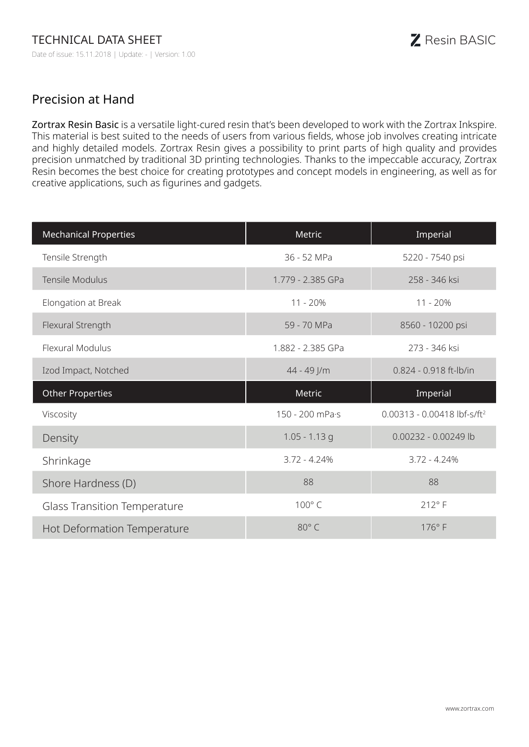## Precision at Hand

Zortrax Resin Basic is a versatile light-cured resin that's been developed to work with the Zortrax Inkspire. This material is best suited to the needs of users from various fields, whose job involves creating intricate and highly detailed models. Zortrax Resin gives a possibility to print parts of high quality and provides precision unmatched by traditional 3D printing technologies. Thanks to the impeccable accuracy, Zortrax Resin becomes the best choice for creating prototypes and concept models in engineering, as well as for creative applications, such as figurines and gadgets.

| <b>Mechanical Properties</b>        | Metric            | Imperial                                  |
|-------------------------------------|-------------------|-------------------------------------------|
| Tensile Strength                    | 36 - 52 MPa       | 5220 - 7540 psi                           |
| Tensile Modulus                     | 1.779 - 2.385 GPa | 258 - 346 ksi                             |
| Elongation at Break                 | $11 - 20%$        | 11 - 20%                                  |
| Flexural Strength                   | 59 - 70 MPa       | 8560 - 10200 psi                          |
| Flexural Modulus                    | 1.882 - 2.385 GPa | 273 - 346 ksi                             |
| Izod Impact, Notched                | 44 - 49 J/m       | 0.824 - 0.918 ft-lb/in                    |
|                                     |                   |                                           |
| <b>Other Properties</b>             | Metric            | Imperial                                  |
| Viscosity                           | 150 - 200 mPa·s   | $0.00313 - 0.00418$ lbf-s/ft <sup>2</sup> |
| Density                             | $1.05 - 1.13$ g   | 0.00232 - 0.00249 lb                      |
| Shrinkage                           | $3.72 - 4.24%$    | $3.72 - 4.24%$                            |
| Shore Hardness (D)                  | 88                | 88                                        |
| <b>Glass Transition Temperature</b> | 100°C             | $212^{\circ}$ F                           |